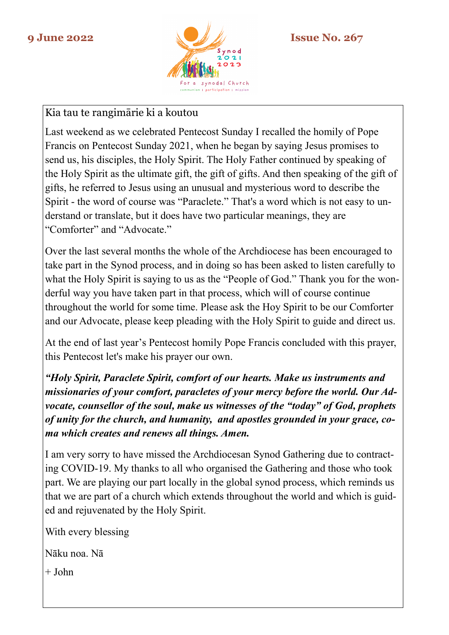

## Kia tau te rangimārie ki a koutou

Last weekend as we celebrated Pentecost Sunday I recalled the homily of Pope Francis on Pentecost Sunday 2021, when he began by saying Jesus promises to send us, his disciples, the Holy Spirit. The Holy Father continued by speaking of the Holy Spirit as the ultimate gift, the gift of gifts. And then speaking of the gift of gifts, he referred to Jesus using an unusual and mysterious word to describe the Spirit - the word of course was "Paraclete." That's a word which is not easy to understand or translate, but it does have two particular meanings, they are "Comforter" and "Advocate."

Over the last several months the whole of the Archdiocese has been encouraged to take part in the Synod process, and in doing so has been asked to listen carefully to what the Holy Spirit is saying to us as the "People of God." Thank you for the wonderful way you have taken part in that process, which will of course continue throughout the world for some time. Please ask the Hoy Spirit to be our Comforter and our Advocate, please keep pleading with the Holy Spirit to guide and direct us.

At the end of last year's Pentecost homily Pope Francis concluded with this prayer, this Pentecost let's make his prayer our own.

*"Holy Spirit, Paraclete Spirit, comfort of our hearts. Make us instruments and missionaries of your comfort, paracletes of your mercy before the world. Our Advocate, counsellor of the soul, make us witnesses of the "today" of God, prophets of unity for the church, and humanity, and apostles grounded in your grace, coma which creates and renews all things. Amen.*

I am very sorry to have missed the Archdiocesan Synod Gathering due to contracting COVID-19. My thanks to all who organised the Gathering and those who took part. We are playing our part locally in the global synod process, which reminds us that we are part of a church which extends throughout the world and which is guided and rejuvenated by the Holy Spirit.

With every blessing

Nāku noa. Nā

 $+$  John